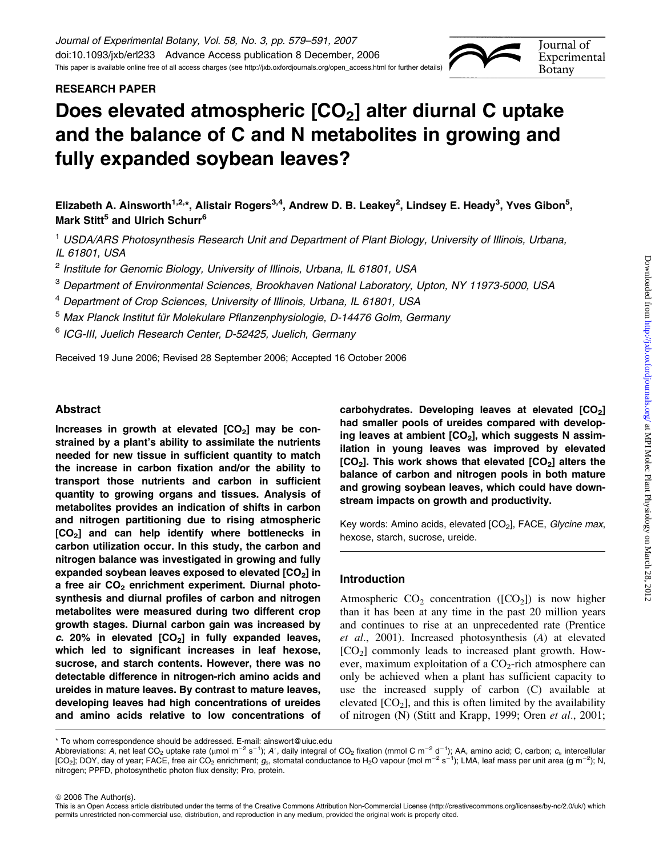# RESEARCH PAPER

# Does elevated atmospheric  $[CO<sub>2</sub>]$  alter diurnal C uptake and the balance of C and N metabolites in growing and fully expanded soybean leaves?

Elizabeth A. Ainsworth<sup>1,2,</sup>\*, Alistair Rogers<sup>3,4</sup>, Andrew D. B. Leakey<sup>2</sup>, Lindsey E. Heady<sup>3</sup>, Yves Gibon<sup>5</sup>, Mark Stitt<sup>5</sup> and Ulrich Schurr<sup>6</sup>

<sup>1</sup> USDA/ARS Photosynthesis Research Unit and Department of Plant Biology, University of Illinois, Urbana, IL 61801, USA

<sup>2</sup> Institute for Genomic Biology, University of Illinois, Urbana, IL 61801, USA

<sup>3</sup> Department of Environmental Sciences, Brookhaven National Laboratory, Upton, NY 11973-5000, USA

<sup>4</sup> Department of Crop Sciences, University of Illinois, Urbana, IL 61801, USA

<sup>5</sup> Max Planck Institut für Molekulare Pflanzenphysiologie, D-14476 Golm, Germany

<sup>6</sup> ICG-III, Juelich Research Center, D-52425, Juelich, Germany

Received 19 June 2006; Revised 28 September 2006; Accepted 16 October 2006

# Abstract

Increases in growth at elevated  $[CO<sub>2</sub>]$  may be constrained by a plant's ability to assimilate the nutrients needed for new tissue in sufficient quantity to match the increase in carbon fixation and/or the ability to transport those nutrients and carbon in sufficient quantity to growing organs and tissues. Analysis of metabolites provides an indication of shifts in carbon and nitrogen partitioning due to rising atmospheric [CO<sub>2</sub>] and can help identify where bottlenecks in carbon utilization occur. In this study, the carbon and nitrogen balance was investigated in growing and fully expanded soybean leaves exposed to elevated  $[CO<sub>2</sub>]$  in a free air  $CO<sub>2</sub>$  enrichment experiment. Diurnal photosynthesis and diurnal profiles of carbon and nitrogen metabolites were measured during two different crop growth stages. Diurnal carbon gain was increased by c. 20% in elevated  $[CO<sub>2</sub>]$  in fully expanded leaves, which led to significant increases in leaf hexose, sucrose, and starch contents. However, there was no detectable difference in nitrogen-rich amino acids and ureides in mature leaves. By contrast to mature leaves, developing leaves had high concentrations of ureides and amino acids relative to low concentrations of carbohydrates. Developing leaves at elevated  $[CO<sub>2</sub>]$ had smaller pools of ureides compared with developing leaves at ambient  $[CO<sub>2</sub>]$ , which suggests N assimilation in young leaves was improved by elevated  $[CO<sub>2</sub>]$ . This work shows that elevated  $[CO<sub>2</sub>]$  alters the balance of carbon and nitrogen pools in both mature and growing soybean leaves, which could have downstream impacts on growth and productivity.

Key words: Amino acids, elevated [CO<sub>2</sub>], FACE, Glycine max, hexose, starch, sucrose, ureide.

# Introduction

Atmospheric  $CO<sub>2</sub>$  concentration ([CO<sub>2</sub>]) is now higher than it has been at any time in the past 20 million years and continues to rise at an unprecedented rate (Prentice et al., 2001). Increased photosynthesis (A) at elevated  $[CO<sub>2</sub>]$  commonly leads to increased plant growth. However, maximum exploitation of a  $CO<sub>2</sub>$ -rich atmosphere can only be achieved when a plant has sufficient capacity to use the increased supply of carbon (C) available at elevated  $[CO<sub>2</sub>]$ , and this is often limited by the availability of nitrogen (N) (Stitt and Krapp, 1999; Oren et al., 2001;

© 2006 The Author(s).

Journal of Experimental **Botany** 

<sup>\*</sup> To whom correspondence should be addressed. E-mail: ainswort@uiuc.edu

Abbreviations: A, net leaf CO<sub>2</sub> uptake rate (µmol m<sup>-2</sup> s<sup>-1</sup>); A', daily integral of CO<sub>2</sub> fixation (mmol C m<sup>-2</sup> d<sup>-1</sup>); AA, amino acid; C, carbon; c<sub>i</sub>, intercellular [CO<sub>2</sub>]; DOY, day of year; FACE, free air CO<sub>2</sub> enrichment;  $g_{\rm s}$ , stomatal conductance to H<sub>2</sub>O vapour (mol m<sup>-2</sup> s<sup>-1</sup>); LMA, leaf mass per unit area (g m<sup>-2</sup>); N, nitrogen; PPFD, photosynthetic photon flux density; Pro, protein.

This is an Open Access article distributed under the terms of the Creative Commons Attribution Non-Commercial License [\(http://creativecommons.org/licenses/by-nc/2.0/uk/\)](http://creativecommons.org/licenses/by-nc/2.0/uk/) which permits unrestricted non-commercial use, distribution, and reproduction in any medium, provided the original work is properly cited.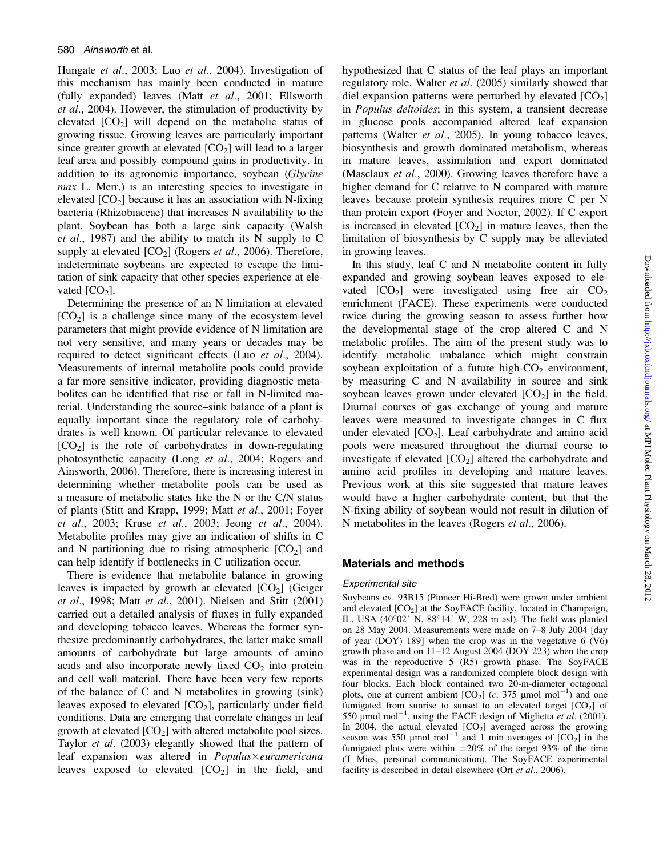Hungate et al., 2003; Luo et al., 2004). Investigation of this mechanism has mainly been conducted in mature (fully expanded) leaves (Matt et al., 2001; Ellsworth et al., 2004). However, the stimulation of productivity by elevated  $[CO<sub>2</sub>]$  will depend on the metabolic status of growing tissue. Growing leaves are particularly important since greater growth at elevated  $[CO_2]$  will lead to a larger leaf area and possibly compound gains in productivity. In addition to its agronomic importance, soybean (Glycine max L. Merr.) is an interesting species to investigate in elevated  $[CO<sub>2</sub>]$  because it has an association with N-fixing bacteria (Rhizobiaceae) that increases N availability to the plant. Soybean has both a large sink capacity (Walsh et al., 1987) and the ability to match its N supply to C supply at elevated  $[CO_2]$  (Rogers *et al.*, 2006). Therefore, indeterminate soybeans are expected to escape the limitation of sink capacity that other species experience at elevated  $[CO<sub>2</sub>]$ .

Determining the presence of an N limitation at elevated  $[CO<sub>2</sub>]$  is a challenge since many of the ecosystem-level parameters that might provide evidence of N limitation are not very sensitive, and many years or decades may be required to detect significant effects (Luo et al., 2004). Measurements of internal metabolite pools could provide a far more sensitive indicator, providing diagnostic metabolites can be identified that rise or fall in N-limited material. Understanding the source–sink balance of a plant is equally important since the regulatory role of carbohydrates is well known. Of particular relevance to elevated  $[CO<sub>2</sub>]$  is the role of carbohydrates in down-regulating photosynthetic capacity (Long et al., 2004; Rogers and Ainsworth, 2006). Therefore, there is increasing interest in determining whether metabolite pools can be used as a measure of metabolic states like the N or the C/N status of plants (Stitt and Krapp, 1999; Matt et al., 2001; Foyer et al., 2003; Kruse et al., 2003; Jeong et al., 2004). Metabolite profiles may give an indication of shifts in C and N partitioning due to rising atmospheric  $[CO<sub>2</sub>]$  and can help identify if bottlenecks in C utilization occur.

There is evidence that metabolite balance in growing leaves is impacted by growth at elevated  $[CO<sub>2</sub>]$  (Geiger et al., 1998; Matt et al., 2001). Nielsen and Stitt (2001) carried out a detailed analysis of fluxes in fully expanded and developing tobacco leaves. Whereas the former synthesize predominantly carbohydrates, the latter make small amounts of carbohydrate but large amounts of amino acids and also incorporate newly fixed  $CO<sub>2</sub>$  into protein and cell wall material. There have been very few reports of the balance of C and N metabolites in growing (sink) leaves exposed to elevated  $[CO_2]$ , particularly under field conditions. Data are emerging that correlate changes in leaf growth at elevated  $[CO_2]$  with altered metabolite pool sizes. Taylor et al. (2003) elegantly showed that the pattern of leaf expansion was altered in  $Populus \times euramericana$ leaves exposed to elevated  $[CO<sub>2</sub>]$  in the field, and hypothesized that C status of the leaf plays an important regulatory role. Walter et al. (2005) similarly showed that diel expansion patterns were perturbed by elevated  $[CO<sub>2</sub>]$ in Populus deltoides; in this system, a transient decrease in glucose pools accompanied altered leaf expansion patterns (Walter et al., 2005). In young tobacco leaves, biosynthesis and growth dominated metabolism, whereas in mature leaves, assimilation and export dominated (Masclaux *et al.*, 2000). Growing leaves therefore have a higher demand for C relative to N compared with mature leaves because protein synthesis requires more C per N than protein export (Foyer and Noctor, 2002). If C export is increased in elevated  $[CO<sub>2</sub>]$  in mature leaves, then the limitation of biosynthesis by C supply may be alleviated in growing leaves.

In this study, leaf C and N metabolite content in fully expanded and growing soybean leaves exposed to elevated  $[CO_2]$  were investigated using free air  $CO_2$ enrichment (FACE). These experiments were conducted twice during the growing season to assess further how the developmental stage of the crop altered C and N metabolic profiles. The aim of the present study was to identify metabolic imbalance which might constrain soybean exploitation of a future high- $CO<sub>2</sub>$  environment, by measuring C and N availability in source and sink soybean leaves grown under elevated  $[CO<sub>2</sub>]$  in the field. Diurnal courses of gas exchange of young and mature leaves were measured to investigate changes in C flux under elevated  $[CO_2]$ . Leaf carbohydrate and amino acid pools were measured throughout the diurnal course to investigate if elevated  $[CO<sub>2</sub>]$  altered the carbohydrate and amino acid profiles in developing and mature leaves. Previous work at this site suggested that mature leaves would have a higher carbohydrate content, but that the N-fixing ability of soybean would not result in dilution of N metabolites in the leaves (Rogers et al., 2006).

## Materials and methods

## Experimental site

Soybeans cv. 93B15 (Pioneer Hi-Bred) were grown under ambient and elevated  $[CO<sub>2</sub>]$  at the SoyFACE facility, located in Champaign, IL, USA  $(40°02'$  N,  $88°14'$  W, 228 m asl). The field was planted on 28 May 2004. Measurements were made on 7–8 July 2004 [day of year (DOY) 189] when the crop was in the vegetative 6 (V6) growth phase and on 11–12 August 2004 (DOY 223) when the crop was in the reproductive 5 (R5) growth phase. The SoyFACE experimental design was a randomized complete block design with four blocks. Each block contained two 20-m-diameter octagonal plots, one at current ambient  $[CO_2]$  (c. 375 µmol mol<sup>-1</sup>) and one fumigated from sunrise to sunset to an elevated target  $[CO<sub>2</sub>]$  of 550  $\mu$ mol mol<sup>-1</sup>, using the FACE design of Miglietta et al. (2001). In 2004, the actual elevated  $[CO<sub>2</sub>]$  averaged across the growing season was 550  $\mu$ mol mol<sup>-1</sup> and 1 min averages of  $[CO<sub>2</sub>]$  in the fumigated plots were within  $\pm 20\%$  of the target 93% of the time (T Mies, personal communication). The SoyFACE experimental facility is described in detail elsewhere (Ort *et al.*, 2006).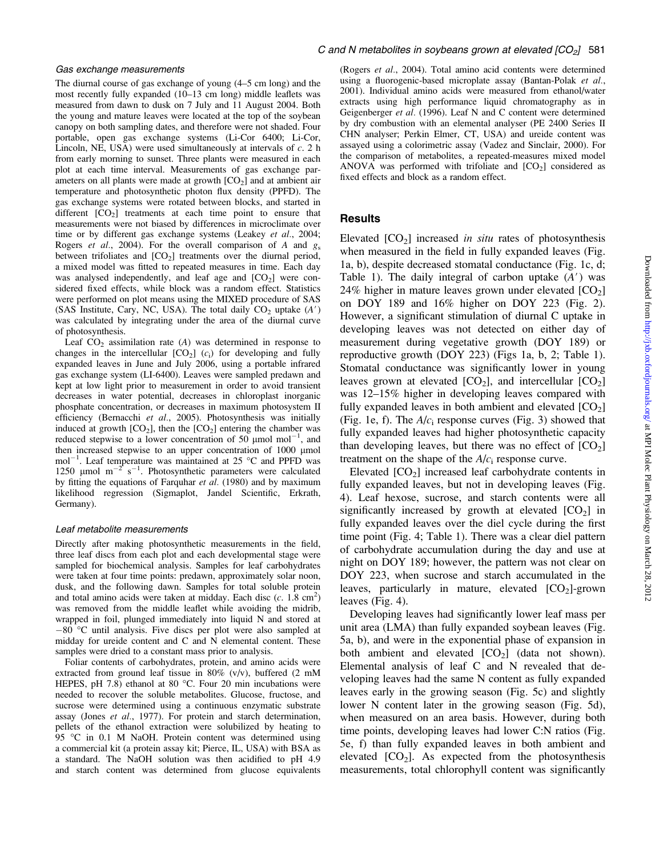The diurnal course of gas exchange of young (4–5 cm long) and the most recently fully expanded (10–13 cm long) middle leaflets was measured from dawn to dusk on 7 July and 11 August 2004. Both the young and mature leaves were located at the top of the soybean canopy on both sampling dates, and therefore were not shaded. Four portable, open gas exchange systems (Li-Cor 6400; Li-Cor, Lincoln, NE, USA) were used simultaneously at intervals of  $c$ . 2 h from early morning to sunset. Three plants were measured in each plot at each time interval. Measurements of gas exchange parameters on all plants were made at growth  $[CO<sub>2</sub>]$  and at ambient air temperature and photosynthetic photon flux density (PPFD). The gas exchange systems were rotated between blocks, and started in different  $[CO<sub>2</sub>]$  treatments at each time point to ensure that measurements were not biased by differences in microclimate over time or by different gas exchange systems (Leakey et al., 2004; Rogers *et al.*, 2004). For the overall comparison of A and  $g_s$ between trifoliates and  $[CO<sub>2</sub>]$  treatments over the diurnal period, a mixed model was fitted to repeated measures in time. Each day was analysed independently, and leaf age and  $[CO<sub>2</sub>]$  were considered fixed effects, while block was a random effect. Statistics were performed on plot means using the MIXED procedure of SAS (SAS Institute, Cary, NC, USA). The total daily  $CO<sub>2</sub>$  uptake  $(A')$ was calculated by integrating under the area of the diurnal curve of photosynthesis.

Leaf  $CO<sub>2</sub>$  assimilation rate (A) was determined in response to changes in the intercellular  $[CO_2]$  (c<sub>i</sub>) for developing and fully expanded leaves in June and July 2006, using a portable infrared gas exchange system (LI-6400). Leaves were sampled predawn and kept at low light prior to measurement in order to avoid transient decreases in water potential, decreases in chloroplast inorganic phosphate concentration, or decreases in maximum photosystem II efficiency (Bernacchi et al., 2005). Photosynthesis was initially induced at growth  $[CO_2]$ , then the  $[CO_2]$  entering the chamber was reduced stepwise to a lower concentration of 50 µmol mol<sup>-1</sup>, and then increased stepwise to an upper concentration of  $1000 \mu$ mol  $mol^{-1}$ . Leaf temperature was maintained at 25 °C and PPFD was 1250 µmol  $m^{-2}$  s<sup>-1</sup>. Photosynthetic parameters were calculated by fitting the equations of Farquhar et al. (1980) and by maximum likelihood regression (Sigmaplot, Jandel Scientific, Erkrath, Germany).

#### Leaf metabolite measurements

Directly after making photosynthetic measurements in the field, three leaf discs from each plot and each developmental stage were sampled for biochemical analysis. Samples for leaf carbohydrates were taken at four time points: predawn, approximately solar noon, dusk, and the following dawn. Samples for total soluble protein and total amino acids were taken at midday. Each disc  $(c. 1.8 \text{ cm}^2)$ was removed from the middle leaflet while avoiding the midrib, wrapped in foil, plunged immediately into liquid N and stored at  $-80$  °C until analysis. Five discs per plot were also sampled at midday for ureide content and C and N elemental content. These samples were dried to a constant mass prior to analysis.

Foliar contents of carbohydrates, protein, and amino acids were extracted from ground leaf tissue in 80% (v/v), buffered (2 mM HEPES, pH 7.8) ethanol at 80  $^{\circ}$ C. Four 20 min incubations were needed to recover the soluble metabolites. Glucose, fructose, and sucrose were determined using a continuous enzymatic substrate assay (Jones et al., 1977). For protein and starch determination, pellets of the ethanol extraction were solubilized by heating to 95 °C in 0.1 M NaOH. Protein content was determined using a commercial kit (a protein assay kit; Pierce, IL, USA) with BSA as a standard. The NaOH solution was then acidified to pH 4.9 and starch content was determined from glucose equivalents

(Rogers et al., 2004). Total amino acid contents were determined using a fluorogenic-based microplate assay (Bantan-Polak et al., 2001). Individual amino acids were measured from ethanol/water extracts using high performance liquid chromatography as in Geigenberger et al. (1996). Leaf N and C content were determined by dry combustion with an elemental analyser (PE 2400 Series II CHN analyser; Perkin Elmer, CT, USA) and ureide content was assayed using a colorimetric assay (Vadez and Sinclair, 2000). For the comparison of metabolites, a repeated-measures mixed model ANOVA was performed with trifoliate and  $[CO<sub>2</sub>]$  considered as fixed effects and block as a random effect.

#### **Results**

Elevated  $[CO<sub>2</sub>]$  increased *in situ* rates of photosynthesis when measured in the field in fully expanded leaves (Fig. 1a, b), despite decreased stomatal conductance (Fig. 1c, d; Table 1). The daily integral of carbon uptake  $(A')$  was 24% higher in mature leaves grown under elevated  $[CO<sub>2</sub>]$ on DOY 189 and 16% higher on DOY 223 (Fig. 2). However, a significant stimulation of diurnal C uptake in developing leaves was not detected on either day of measurement during vegetative growth (DOY 189) or reproductive growth (DOY 223) (Figs 1a, b, 2; Table 1). Stomatal conductance was significantly lower in young leaves grown at elevated  $[CO_2]$ , and intercellular  $[CO_2]$ was 12–15% higher in developing leaves compared with fully expanded leaves in both ambient and elevated  $[CO<sub>2</sub>]$ (Fig. 1e, f). The  $A/c<sub>i</sub>$  response curves (Fig. 3) showed that fully expanded leaves had higher photosynthetic capacity than developing leaves, but there was no effect of  $[CO<sub>2</sub>]$ treatment on the shape of the  $A/c<sub>i</sub>$  response curve.

Elevated  $[CO<sub>2</sub>]$  increased leaf carbohydrate contents in fully expanded leaves, but not in developing leaves (Fig. 4). Leaf hexose, sucrose, and starch contents were all significantly increased by growth at elevated  $[CO<sub>2</sub>]$  in fully expanded leaves over the diel cycle during the first time point (Fig. 4; Table 1). There was a clear diel pattern of carbohydrate accumulation during the day and use at night on DOY 189; however, the pattern was not clear on DOY 223, when sucrose and starch accumulated in the leaves, particularly in mature, elevated  $[CO<sub>2</sub>]$ -grown leaves (Fig. 4).

Developing leaves had significantly lower leaf mass per unit area (LMA) than fully expanded soybean leaves (Fig. 5a, b), and were in the exponential phase of expansion in both ambient and elevated  $[CO<sub>2</sub>]$  (data not shown). Elemental analysis of leaf C and N revealed that developing leaves had the same N content as fully expanded leaves early in the growing season (Fig. 5c) and slightly lower N content later in the growing season (Fig. 5d), when measured on an area basis. However, during both time points, developing leaves had lower C:N ratios (Fig. 5e, f) than fully expanded leaves in both ambient and elevated  $[CO<sub>2</sub>]$ . As expected from the photosynthesis measurements, total chlorophyll content was significantly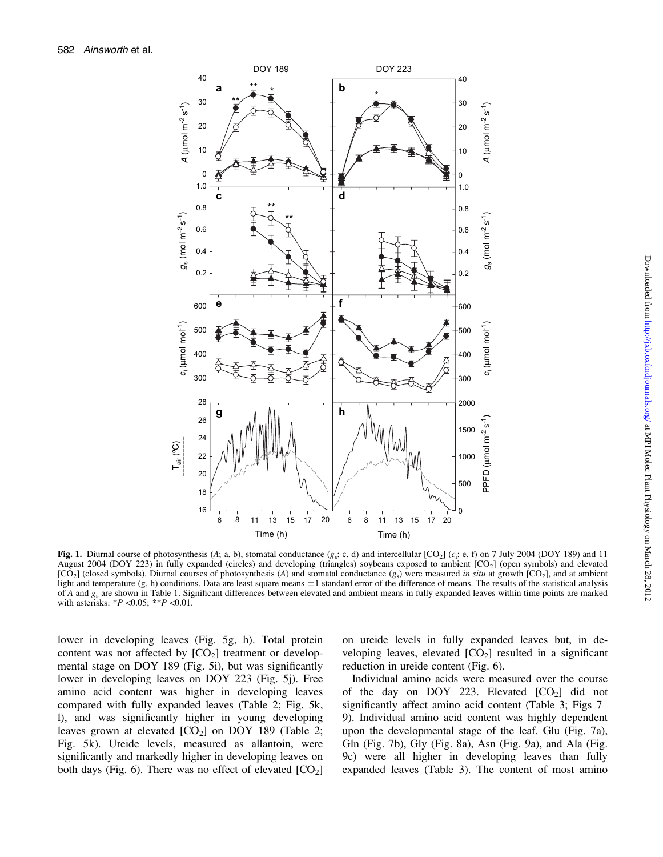

Fig. 1. Diurnal course of photosynthesis (A; a, b), stomatal conductance  $(g_S; c, d)$  and intercellular [CO<sub>2</sub>] (c<sub>i</sub>; e, f) on 7 July 2004 (DOY 189) and 11 August 2004 (DOY 223) in fully expanded (circles) and developing (triangles) soybeans exposed to ambient [CO<sub>2</sub>] (open symbols) and elevated  $[CO<sub>2</sub>]$  (closed symbols). Diurnal courses of photosynthesis (A) and stomatal conductance  $(g<sub>s</sub>)$  were measured in situ at growth  $[CO<sub>2</sub>]$ , and at ambient light and temperature  $(g, h)$  conditions. Data are least square means  $\pm 1$  standard error of the difference of means. The results of the statistical analysis of A and  $g_s$  are shown in Table 1. Significant differences between elevated and ambient means in fully expanded leaves within time points are marked with asterisks:  $*P < 0.05$ ;  $*P < 0.01$ .

lower in developing leaves (Fig. 5g, h). Total protein content was not affected by  $[CO<sub>2</sub>]$  treatment or developmental stage on DOY 189 (Fig. 5i), but was significantly lower in developing leaves on DOY 223 (Fig. 5j). Free amino acid content was higher in developing leaves compared with fully expanded leaves (Table 2; Fig. 5k, l), and was significantly higher in young developing leaves grown at elevated  $[CO_2]$  on DOY 189 (Table 2; Fig. 5k). Ureide levels, measured as allantoin, were significantly and markedly higher in developing leaves on both days (Fig. 6). There was no effect of elevated  $[CO<sub>2</sub>]$  on ureide levels in fully expanded leaves but, in developing leaves, elevated  $[CO<sub>2</sub>]$  resulted in a significant reduction in ureide content (Fig. 6).

Individual amino acids were measured over the course of the day on DOY 223. Elevated  $[CO<sub>2</sub>]$  did not significantly affect amino acid content (Table 3; Figs 7– 9). Individual amino acid content was highly dependent upon the developmental stage of the leaf. Glu (Fig. 7a), Gln (Fig. 7b), Gly (Fig. 8a), Asn (Fig. 9a), and Ala (Fig. 9c) were all higher in developing leaves than fully expanded leaves (Table 3). The content of most amino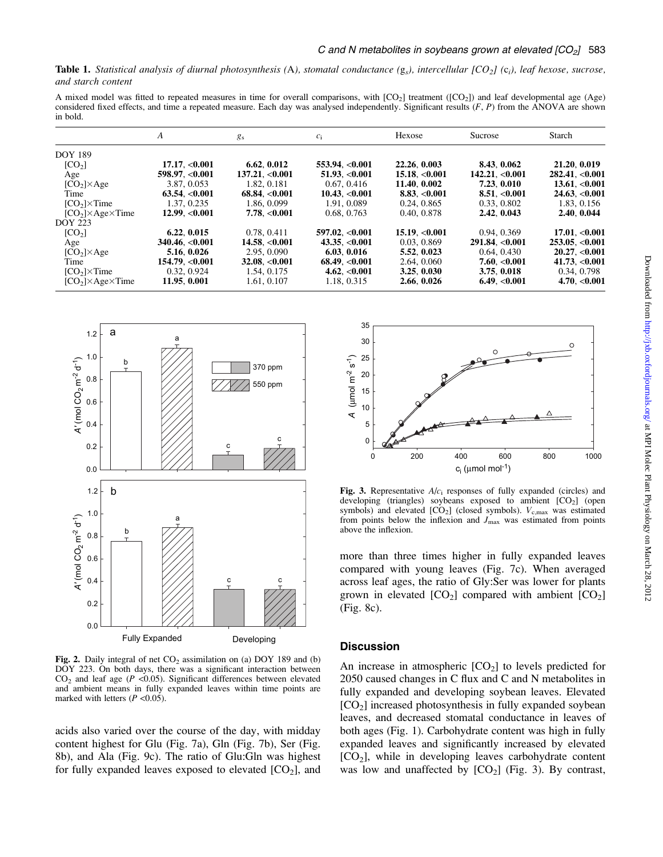**Table 1.** Statistical analysis of diurnal photosynthesis (A), stomatal conductance ( $g_s$ ), intercellular  $[CO_2]$  (c<sub>i</sub>), leaf hexose, sucrose, and starch content

A mixed model was fitted to repeated measures in time for overall comparisons, with  $[CO_2]$  treatment  $([CO_2])$  and leaf developmental age (Age) considered fixed effects, and time a repeated measure. Each day was analysed independently. Significant results  $(F, P)$  from the ANOVA are shown in bold.

|                                | A                       | $g_s$                | $c_i$               | Hexose             | Sucrose           | Starch               |
|--------------------------------|-------------------------|----------------------|---------------------|--------------------|-------------------|----------------------|
| <b>DOY 189</b>                 |                         |                      |                     |                    |                   |                      |
| [CO <sub>2</sub> ]             | 17.17, <sub>0.001</sub> | 6.62, 0.012          | 553.94, < 0.001     | 22.26, 0.003       | 8.43, 0.062       | 21.20, 0.019         |
| Age                            | 598.97. < 0.001         | $137.21 \cdot 0.001$ | $51.93 \, < 0.001$  | $15.18 \, < 0.001$ | 142.21. < 0.001   | $282.41 \cdot 0.001$ |
| $[CO2] \times Age$             | 3.87, 0.053             | 1.82, 0.181          | 0.67, 0.416         | 11.40, 0.002       | 7.23, 0.010       | 13.61< 0.001         |
| Time                           | $63.54 \, 0.001$        | 68.84, <0.001        | $10.43 \, < 0.001$  | 8.83, <0.001       | 8.51, <0.001      | 24.63, <0.001        |
| $[CO2] \times Time$            | 1.37, 0.235             | 1.86, 0.099          | 1.91.0.089          | 0.24, 0.865        | 0.33, 0.802       | 1.83, 0.156          |
| $[CO2] \times Age \times Time$ | 12.99 < 0.001           | 7.78. < 0.001        | 0.68, 0.763         | 0.40, 0.878        | 2.42, 0.043       | 2.40, 0.044          |
| <b>DOY 223</b>                 |                         |                      |                     |                    |                   |                      |
| [CO <sub>2</sub> ]             | 6.22, 0.015             | 0.78, 0.411          | 597.02. < 0.001     | 15.19 < 0.001      | 0.94, 0.369       | 17.01. < 0.001       |
| Age                            | $340.46 \, < 0.001$     | 14.58. < 0.001       | $43.35 \, < 0.001$  | 0.03, 0.869        | 291.84 < 0.001    | 253.05. < 0.001      |
| $[CO2] \times Age$             | 5.16, 0.026             | 2.95, 0.090          | 6.03.0.016          | 5.52, 0.023        | 0.64, 0.430       | 20.27 < 0.001        |
| Time                           | 154.79 <sub>0.001</sub> | $32.08 \, < 0.001$   | $68.49 \cdot 0.001$ | 2.64, 0.060        | $7.60 \, < 0.001$ | 41.73. < 0.001       |
| $[CO2] \times Time$            | 0.32, 0.924             | 1.54, 0.175          | 4.62, <0.001        | 3.25, 0.030        | 3.75, 0.018       | 0.34, 0.798          |
| $[CO2] \times Age \times Time$ | 11.95. 0.001            | 1.61, 0.107          | 1.18, 0.315         | 2.66, 0.026        | 6.49, <0.001      | 4.70. < 0.001        |



Fig. 2. Daily integral of net  $CO<sub>2</sub>$  assimilation on (a) DOY 189 and (b) DOY 223. On both days, there was a significant interaction between  $CO<sub>2</sub>$  and leaf age ( $P < 0.05$ ). Significant differences between elevated and ambient means in fully expanded leaves within time points are marked with letters  $(P \le 0.05)$ .

acids also varied over the course of the day, with midday content highest for Glu (Fig. 7a), Gln (Fig. 7b), Ser (Fig. 8b), and Ala (Fig. 9c). The ratio of Glu:Gln was highest for fully expanded leaves exposed to elevated  $[CO<sub>2</sub>]$ , and



Fig. 3. Representative  $A/c<sub>i</sub>$  responses of fully expanded (circles) and developing (triangles) soybeans exposed to ambient [CO<sub>2</sub>] (open symbols) and elevated  $[CO_2]$  (closed symbols).  $V_{c,max}$  was estimated from points below the inflexion and  $J_{\text{max}}$  was estimated from points above the inflexion.

more than three times higher in fully expanded leaves compared with young leaves (Fig. 7c). When averaged across leaf ages, the ratio of Gly:Ser was lower for plants grown in elevated  $[CO_2]$  compared with ambient  $[CO_2]$ (Fig. 8c).

## **Discussion**

An increase in atmospheric  $[CO<sub>2</sub>]$  to levels predicted for 2050 caused changes in C flux and C and N metabolites in fully expanded and developing soybean leaves. Elevated  $[CO<sub>2</sub>]$  increased photosynthesis in fully expanded soybean leaves, and decreased stomatal conductance in leaves of both ages (Fig. 1). Carbohydrate content was high in fully expanded leaves and significantly increased by elevated  $[CO<sub>2</sub>]$ , while in developing leaves carbohydrate content was low and unaffected by  $[CO<sub>2</sub>]$  (Fig. 3). By contrast,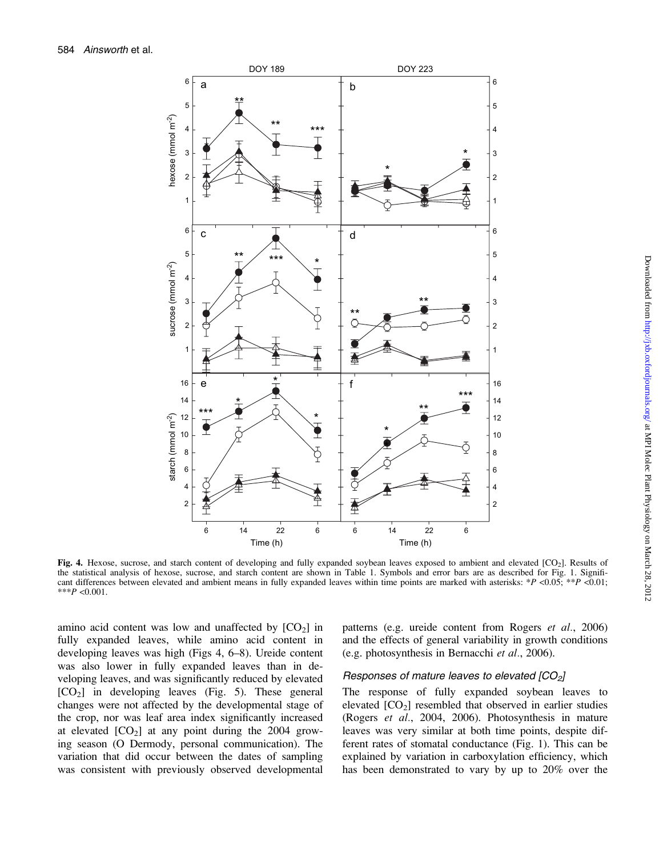

Fig. 4. Hexose, sucrose, and starch content of developing and fully expanded soybean leaves exposed to ambient and elevated  $[CO<sub>2</sub>]$ . Results of the statistical analysis of hexose, sucrose, and starch content are shown in Table 1. Symbols and error bars are as described for Fig. 1. Significant differences between elevated and ambient means in fully expanded leaves within time points are marked with asterisks: \*P <0.05; \*\*P <0.01; \*\*\* $P < 0.001$ .

amino acid content was low and unaffected by  $[CO<sub>2</sub>]$  in fully expanded leaves, while amino acid content in developing leaves was high (Figs 4, 6–8). Ureide content was also lower in fully expanded leaves than in developing leaves, and was significantly reduced by elevated  $[CO<sub>2</sub>]$  in developing leaves (Fig. 5). These general changes were not affected by the developmental stage of the crop, nor was leaf area index significantly increased at elevated  $[CO<sub>2</sub>]$  at any point during the 2004 growing season (O Dermody, personal communication). The variation that did occur between the dates of sampling was consistent with previously observed developmental patterns (e.g. ureide content from Rogers *et al.*, 2006) and the effects of general variability in growth conditions (e.g. photosynthesis in Bernacchi et al., 2006).

#### Responses of mature leaves to elevated  $[CO<sub>2</sub>]$

The response of fully expanded soybean leaves to elevated  $[CO<sub>2</sub>]$  resembled that observed in earlier studies (Rogers et al., 2004, 2006). Photosynthesis in mature leaves was very similar at both time points, despite different rates of stomatal conductance (Fig. 1). This can be explained by variation in carboxylation efficiency, which has been demonstrated to vary by up to 20% over the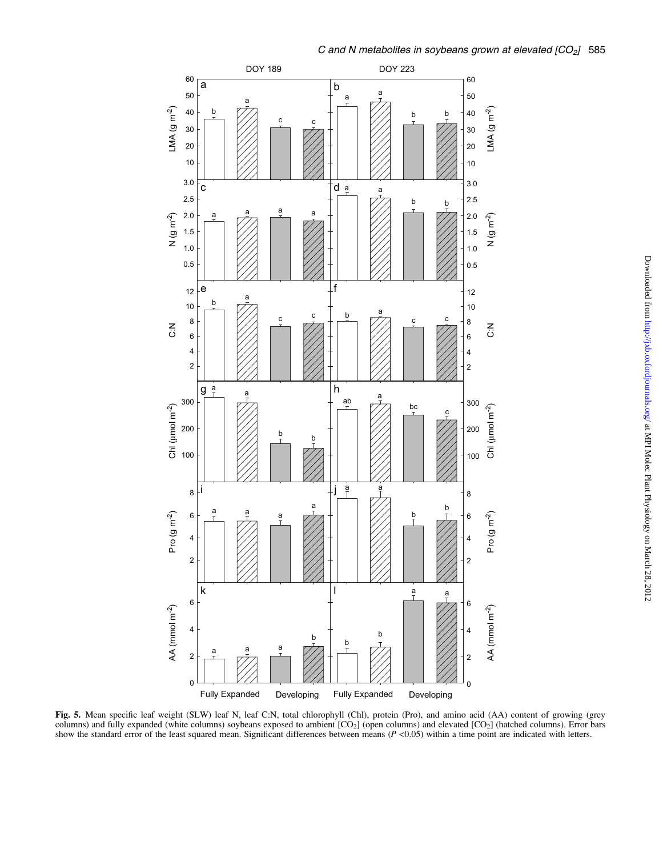

Fig. 5. Mean specific leaf weight (SLW) leaf N, leaf C:N, total chlorophyll (Chl), protein (Pro), and amino acid (AA) content of growing (grey columns) and fully expanded (white columns) soybeans exposed to ambient  $[CO<sub>2</sub>]$  (open columns) and elevated  $[CO<sub>2</sub>]$  (hatched columns). Error bars show the standard error of the least squared mean. Significant differences between means  $(P \lt 0.05)$  within a time point are indicated with letters.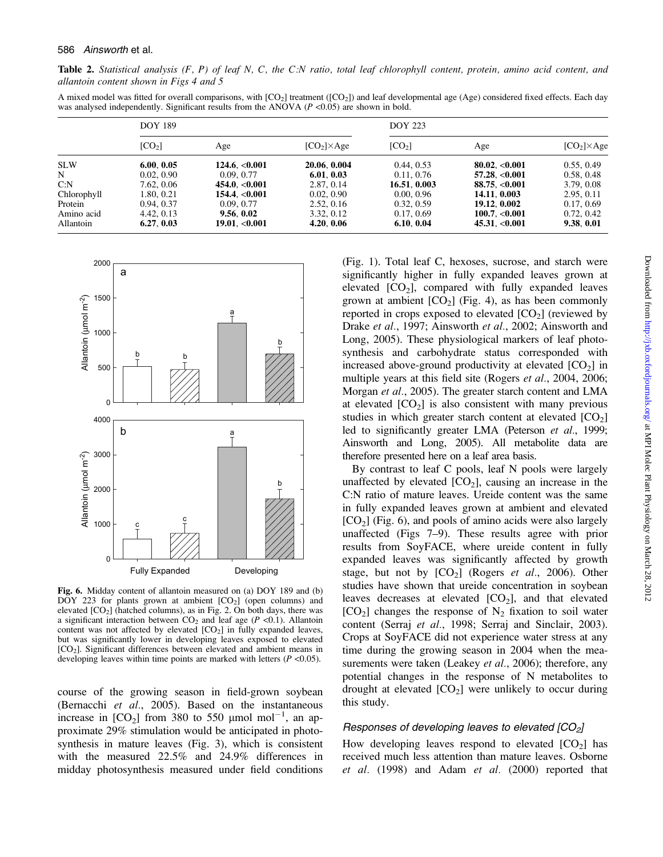Table 2. Statistical analysis  $(F, P)$  of leaf N, C, the C:N ratio, total leaf chlorophyll content, protein, amino acid content, and allantoin content shown in Figs 4 and 5

A mixed model was fitted for overall comparisons, with  $[CO_2]$  treatment  $([CO_2])$  and leaf developmental age (Age) considered fixed effects. Each day was analysed independently. Significant results from the ANOVA ( $P$  <0.05) are shown in bold.

|             | <b>DOY 189</b>     |                   |                    | <b>DOY 223</b>     |                         |                    |  |
|-------------|--------------------|-------------------|--------------------|--------------------|-------------------------|--------------------|--|
|             | [CO <sub>2</sub> ] | Age               | $[CO2] \times Age$ | [CO <sub>2</sub> ] | Age                     | $[CO2] \times Age$ |  |
| <b>SLW</b>  | 6.00, 0.05         | 124.6, <0.001     | 20.06, 0.004       | 0.44, 0.53         | 80.02. <sub>0.001</sub> | 0.55, 0.49         |  |
| N           | 0.02, 0.90         | 0.09, 0.77        | 6.01, 0.03         | 0.11, 0.76         | $57.28 \, < 0.001$      | 0.58, 0.48         |  |
| C: N        | 7.62, 0.06         | $454.0 \le 0.001$ | 2.87, 0.14         | 16.51, 0.003       | 88.75. <sub>0.001</sub> | 3.79, 0.08         |  |
| Chlorophyll | 1.80.0.21          | 154.4, <0.001     | 0.02, 0.90         | 0.00, 0.96         | 14.11, 0.003            | 2.95, 0.11         |  |
| Protein     | 0.94, 0.37         | 0.09, 0.77        | 2.52, 0.16         | 0.32, 0.59         | 19.12, 0.002            | 0.17, 0.69         |  |
| Amino acid  | 4.42, 0.13         | 9.56, 0.02        | 3.32, 0.12         | 0.17, 0.69         | 100.7. < 0.001          | 0.72, 0.42         |  |
| Allantoin   | 6.27.0.03          | 19.01, <0.001     | 4.20, 0.06         | 6.10, 0.04         | 45.31, <0.001           | 9.38, 0.01         |  |



Fig. 6. Midday content of allantoin measured on (a) DOY 189 and (b)  $\overline{DOY}$  223 for plants grown at ambient  $[CO<sub>2</sub>]$  (open columns) and elevated  $[CO<sub>2</sub>]$  (hatched columns), as in Fig. 2. On both days, there was a significant interaction between  $CO<sub>2</sub>$  and leaf age ( $P < 0.1$ ). Allantoin content was not affected by elevated  $[CO<sub>2</sub>]$  in fully expanded leaves, but was significantly lower in developing leaves exposed to elevated [CO<sub>2</sub>]. Significant differences between elevated and ambient means in developing leaves within time points are marked with letters  $(P \le 0.05)$ .

course of the growing season in field-grown soybean (Bernacchi et al., 2005). Based on the instantaneous increase in  $[CO_2]$  from 380 to 550  $\mu$ mol mol<sup>-1</sup>, an approximate 29% stimulation would be anticipated in photosynthesis in mature leaves (Fig. 3), which is consistent with the measured 22.5% and 24.9% differences in midday photosynthesis measured under field conditions

(Fig. 1). Total leaf C, hexoses, sucrose, and starch were significantly higher in fully expanded leaves grown at elevated  $[CO_2]$ , compared with fully expanded leaves grown at ambient  $[CO<sub>2</sub>]$  (Fig. 4), as has been commonly reported in crops exposed to elevated  $[CO<sub>2</sub>]$  (reviewed by Drake et al., 1997; Ainsworth et al., 2002; Ainsworth and Long, 2005). These physiological markers of leaf photosynthesis and carbohydrate status corresponded with increased above-ground productivity at elevated  $[CO<sub>2</sub>]$  in multiple years at this field site (Rogers et al., 2004, 2006; Morgan et al., 2005). The greater starch content and LMA at elevated  $[CO<sub>2</sub>]$  is also consistent with many previous studies in which greater starch content at elevated  $[CO<sub>2</sub>]$ led to significantly greater LMA (Peterson et al., 1999; Ainsworth and Long, 2005). All metabolite data are therefore presented here on a leaf area basis.

By contrast to leaf C pools, leaf N pools were largely unaffected by elevated  $[CO_2]$ , causing an increase in the C:N ratio of mature leaves. Ureide content was the same in fully expanded leaves grown at ambient and elevated  $[CO<sub>2</sub>]$  (Fig. 6), and pools of amino acids were also largely unaffected (Figs 7–9). These results agree with prior results from SoyFACE, where ureide content in fully expanded leaves was significantly affected by growth stage, but not by  $[CO_2]$  (Rogers *et al.*, 2006). Other studies have shown that ureide concentration in soybean leaves decreases at elevated  $[CO<sub>2</sub>]$ , and that elevated  $[CO<sub>2</sub>]$  changes the response of N<sub>2</sub> fixation to soil water content (Serraj et al., 1998; Serraj and Sinclair, 2003). Crops at SoyFACE did not experience water stress at any time during the growing season in 2004 when the measurements were taken (Leakey *et al.*, 2006); therefore, any potential changes in the response of N metabolites to drought at elevated  $[CO<sub>2</sub>]$  were unlikely to occur during this study.

## Responses of developing leaves to elevated  $[CO<sub>2</sub>]$

How developing leaves respond to elevated  $[CO<sub>2</sub>]$  has received much less attention than mature leaves. Osborne et al. (1998) and Adam et al. (2000) reported that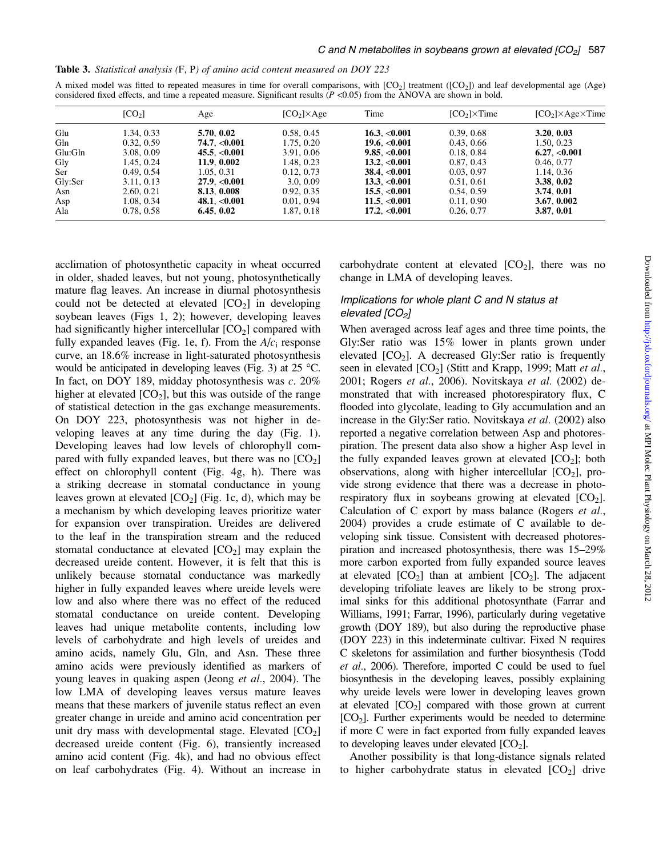| Table 3. Statistical analysis (F, P) of amino acid content measured on DOY 223 |  |  |  |  |  |  |  |  |  |  |
|--------------------------------------------------------------------------------|--|--|--|--|--|--|--|--|--|--|
|--------------------------------------------------------------------------------|--|--|--|--|--|--|--|--|--|--|

| A mixed model was fitted to repeated measures in time for overall comparisons, with $[CO_2]$ treatment $([CO_2])$ and leaf developmental age (Age) |  |
|----------------------------------------------------------------------------------------------------------------------------------------------------|--|
| considered fixed effects, and time a repeated measure. Significant results $(P \le 0.05)$ from the ANOVA are shown in bold.                        |  |

|         | [CO <sub>2</sub> ] | Age               | $[CO2] \times Age$ | Time                   | $[CO2] \times Time$ | $[CO2] \times Age \times Time$ |
|---------|--------------------|-------------------|--------------------|------------------------|---------------------|--------------------------------|
| Glu     | 1.34, 0.33         | 5.70, 0.02        | 0.58, 0.45         | $16.3 \, < 0.001$      | 0.39, 0.68          | 3.20, 0.03                     |
| Gln     | 0.32, 0.59         | $74.7 \, < 0.001$ | 1.75, 0.20         | 19.6. < 0.001          | 0.43, 0.66          | 1.50, 0.23                     |
| Glu:Gln | 3.08, 0.09         | $45.5 \, < 0.001$ | 3.91, 0.06         | 9.85, <0.001           | 0.18, 0.84          | 6.27, <0.001                   |
| Gly     | 1.45, 0.24         | 11.9.0.002        | 1.48, 0.23         | 13.2. < 0.001          | 0.87, 0.43          | 0.46, 0.77                     |
| Ser     | 0.49, 0.54         | 1.05, 0.31        | 0.12, 0.73         | $38.4 \cdot 0.001$     | 0.03, 0.97          | 1.14, 0.36                     |
| Gly:Ser | 3.11, 0.13         | 27.9< 0.001       | 3.0, 0.09          | 13.3. < 0.001          | 0.51, 0.61          | 3.38, 0.02                     |
| Asn     | 2.60, 0.21         | 8.13. 0.008       | 0.92, 0.35         | 15.5, <0.001           | 0.54, 0.59          | 3.74.0.01                      |
| Asp     | 1.08, 0.34         | 48.1, <0.001      | 0.01, 0.94         | 11.5, <0.001           | 0.11, 0.90          | 3.67, 0.002                    |
| Ala     | 0.78, 0.58         | 6.45, 0.02        | 1.87, 0.18         | 17.2, <sub>0.001</sub> | 0.26, 0.77          | 3.87, 0.01                     |

acclimation of photosynthetic capacity in wheat occurred in older, shaded leaves, but not young, photosynthetically mature flag leaves. An increase in diurnal photosynthesis could not be detected at elevated  $[CO<sub>2</sub>]$  in developing soybean leaves (Figs 1, 2); however, developing leaves had significantly higher intercellular  $[CO<sub>2</sub>]$  compared with fully expanded leaves (Fig. 1e, f). From the  $A/c<sub>i</sub>$  response curve, an 18.6% increase in light-saturated photosynthesis would be anticipated in developing leaves (Fig. 3) at  $25^{\circ}$ C. In fact, on DOY 189, midday photosynthesis was c. 20% higher at elevated  $[CO_2]$ , but this was outside of the range of statistical detection in the gas exchange measurements. On DOY 223, photosynthesis was not higher in developing leaves at any time during the day (Fig. 1). Developing leaves had low levels of chlorophyll compared with fully expanded leaves, but there was no  $[CO<sub>2</sub>]$ effect on chlorophyll content (Fig. 4g, h). There was a striking decrease in stomatal conductance in young leaves grown at elevated  $[CO<sub>2</sub>]$  (Fig. 1c, d), which may be a mechanism by which developing leaves prioritize water for expansion over transpiration. Ureides are delivered to the leaf in the transpiration stream and the reduced stomatal conductance at elevated  $[CO<sub>2</sub>]$  may explain the decreased ureide content. However, it is felt that this is unlikely because stomatal conductance was markedly higher in fully expanded leaves where ureide levels were low and also where there was no effect of the reduced stomatal conductance on ureide content. Developing leaves had unique metabolite contents, including low levels of carbohydrate and high levels of ureides and amino acids, namely Glu, Gln, and Asn. These three amino acids were previously identified as markers of young leaves in quaking aspen (Jeong *et al.*, 2004). The low LMA of developing leaves versus mature leaves means that these markers of juvenile status reflect an even greater change in ureide and amino acid concentration per unit dry mass with developmental stage. Elevated  $[CO<sub>2</sub>]$ decreased ureide content (Fig. 6), transiently increased amino acid content (Fig. 4k), and had no obvious effect on leaf carbohydrates (Fig. 4). Without an increase in

carbohydrate content at elevated  $[CO<sub>2</sub>]$ , there was no change in LMA of developing leaves.

# Implications for whole plant C and N status at elevated  $[CO<sub>2</sub>]$

When averaged across leaf ages and three time points, the Gly:Ser ratio was 15% lower in plants grown under elevated  $[CO<sub>2</sub>]$ . A decreased Gly:Ser ratio is frequently seen in elevated  $[CO_2]$  (Stitt and Krapp, 1999; Matt *et al.*, 2001; Rogers et al., 2006). Novitskaya et al. (2002) demonstrated that with increased photorespiratory flux, C flooded into glycolate, leading to Gly accumulation and an increase in the Gly:Ser ratio. Novitskaya et al. (2002) also reported a negative correlation between Asp and photorespiration. The present data also show a higher Asp level in the fully expanded leaves grown at elevated  $[CO<sub>2</sub>]$ ; both observations, along with higher intercellular  $[CO<sub>2</sub>]$ , provide strong evidence that there was a decrease in photorespiratory flux in soybeans growing at elevated  $[CO<sub>2</sub>]$ . Calculation of C export by mass balance (Rogers *et al.*, 2004) provides a crude estimate of C available to developing sink tissue. Consistent with decreased photorespiration and increased photosynthesis, there was 15–29% more carbon exported from fully expanded source leaves at elevated  $[CO_2]$  than at ambient  $[CO_2]$ . The adjacent developing trifoliate leaves are likely to be strong proximal sinks for this additional photosynthate (Farrar and Williams, 1991; Farrar, 1996), particularly during vegetative growth (DOY 189), but also during the reproductive phase (DOY 223) in this indeterminate cultivar. Fixed N requires C skeletons for assimilation and further biosynthesis (Todd et al., 2006). Therefore, imported C could be used to fuel biosynthesis in the developing leaves, possibly explaining why ureide levels were lower in developing leaves grown at elevated  $[CO_2]$  compared with those grown at current  $[CO<sub>2</sub>]$ . Further experiments would be needed to determine if more C were in fact exported from fully expanded leaves to developing leaves under elevated  $[CO<sub>2</sub>]$ .

Another possibility is that long-distance signals related to higher carbohydrate status in elevated  $[CO<sub>2</sub>]$  drive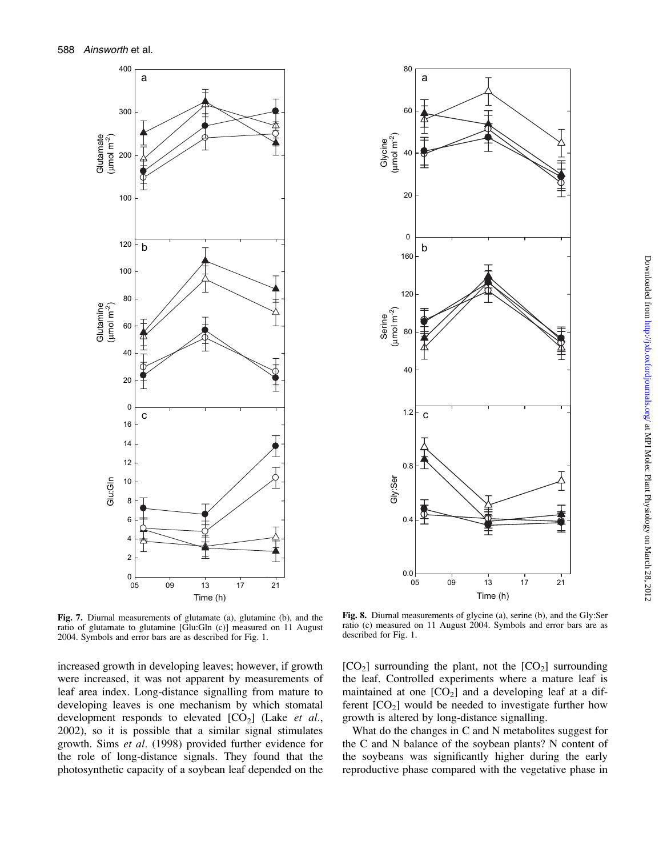



Fig. 7. Diurnal measurements of glutamate (a), glutamine (b), and the ratio of glutamate to glutamine [Glu:Gln (c)] measured on 11 August 2004. Symbols and error bars are as described for Fig. 1.

increased growth in developing leaves; however, if growth were increased, it was not apparent by measurements of leaf area index. Long-distance signalling from mature to developing leaves is one mechanism by which stomatal development responds to elevated  $[CO<sub>2</sub>]$  (Lake *et al.*, 2002), so it is possible that a similar signal stimulates growth. Sims et al. (1998) provided further evidence for the role of long-distance signals. They found that the photosynthetic capacity of a soybean leaf depended on the

Fig. 8. Diurnal measurements of glycine (a), serine (b), and the Gly:Ser ratio (c) measured on 11 August 2004. Symbols and error bars are as described for Fig. 1.

 $[CO<sub>2</sub>]$  surrounding the plant, not the  $[CO<sub>2</sub>]$  surrounding the leaf. Controlled experiments where a mature leaf is maintained at one  $[CO_2]$  and a developing leaf at a different  $[CO<sub>2</sub>]$  would be needed to investigate further how growth is altered by long-distance signalling.

What do the changes in C and N metabolites suggest for the C and N balance of the soybean plants? N content of the soybeans was significantly higher during the early reproductive phase compared with the vegetative phase in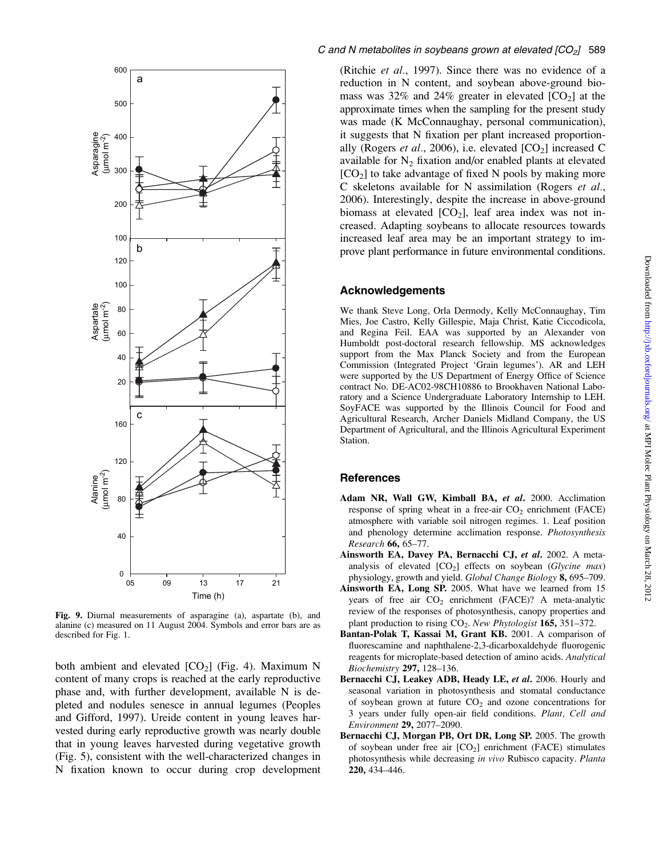

Fig. 9. Diurnal measurements of asparagine (a), aspartate (b), and alanine (c) measured on 11 August 2004. Symbols and error bars are as described for Fig. 1.

both ambient and elevated  $[CO_2]$  (Fig. 4). Maximum N content of many crops is reached at the early reproductive phase and, with further development, available N is depleted and nodules senesce in annual legumes (Peoples and Gifford, 1997). Ureide content in young leaves harvested during early reproductive growth was nearly double that in young leaves harvested during vegetative growth (Fig. 5), consistent with the well-characterized changes in N fixation known to occur during crop development (Ritchie et al., 1997). Since there was no evidence of a reduction in N content, and soybean above-ground biomass was 32% and 24% greater in elevated  $[CO<sub>2</sub>]$  at the approximate times when the sampling for the present study was made (K McConnaughay, personal communication), it suggests that N fixation per plant increased proportionally (Rogers et al., 2006), i.e. elevated  $[CO<sub>2</sub>]$  increased C available for  $N_2$  fixation and/or enabled plants at elevated  $[CO<sub>2</sub>]$  to take advantage of fixed N pools by making more C skeletons available for N assimilation (Rogers et al., 2006). Interestingly, despite the increase in above-ground biomass at elevated  $[CO_2]$ , leaf area index was not increased. Adapting soybeans to allocate resources towards increased leaf area may be an important strategy to improve plant performance in future environmental conditions.

## Acknowledgements

We thank Steve Long, Orla Dermody, Kelly McConnaughay, Tim Mies, Joe Castro, Kelly Gillespie, Maja Christ, Katie Ciccodicola, and Regina Feil. EAA was supported by an Alexander von Humboldt post-doctoral research fellowship. MS acknowledges support from the Max Planck Society and from the European Commission (Integrated Project 'Grain legumes'). AR and LEH were supported by the US Department of Energy Office of Science contract No. DE-AC02-98CH10886 to Brookhaven National Laboratory and a Science Undergraduate Laboratory Internship to LEH. SoyFACE was supported by the Illinois Council for Food and Agricultural Research, Archer Daniels Midland Company, the US Department of Agricultural, and the Illinois Agricultural Experiment Station.

# **References**

- Adam NR, Wall GW, Kimball BA, et al. 2000. Acclimation response of spring wheat in a free-air  $CO<sub>2</sub>$  enrichment (FACE) atmosphere with variable soil nitrogen regimes. 1. Leaf position and phenology determine acclimation response. Photosynthesis Research 66, 65–77.
- Ainsworth EA, Davey PA, Bernacchi CJ, et al. 2002. A metaanalysis of elevated  $[CO_2]$  effects on soybean (Glycine max) physiology, growth and yield. Global Change Biology 8, 695–709.
- Ainsworth EA, Long SP. 2005. What have we learned from 15 years of free air  $CO<sub>2</sub>$  enrichment (FACE)? A meta-analytic review of the responses of photosynthesis, canopy properties and plant production to rising  $CO<sub>2</sub>$ . New Phytologist 165, 351–372.
- Bantan-Polak T, Kassai M, Grant KB. 2001. A comparison of fluorescamine and naphthalene-2,3-dicarboxaldehyde fluorogenic reagents for microplate-based detection of amino acids. Analytical Biochemistry 297, 128-136.
- Bernacchi CJ, Leakey ADB, Heady LE, et al. 2006. Hourly and seasonal variation in photosynthesis and stomatal conductance of soybean grown at future  $CO<sub>2</sub>$  and ozone concentrations for 3 years under fully open-air field conditions. Plant, Cell and Environment 29, 2077–2090.
- Bernacchi CJ, Morgan PB, Ort DR, Long SP. 2005. The growth of soybean under free air  $[CO_2]$  enrichment (FACE) stimulates photosynthesis while decreasing in vivo Rubisco capacity. Planta 220, 434–446.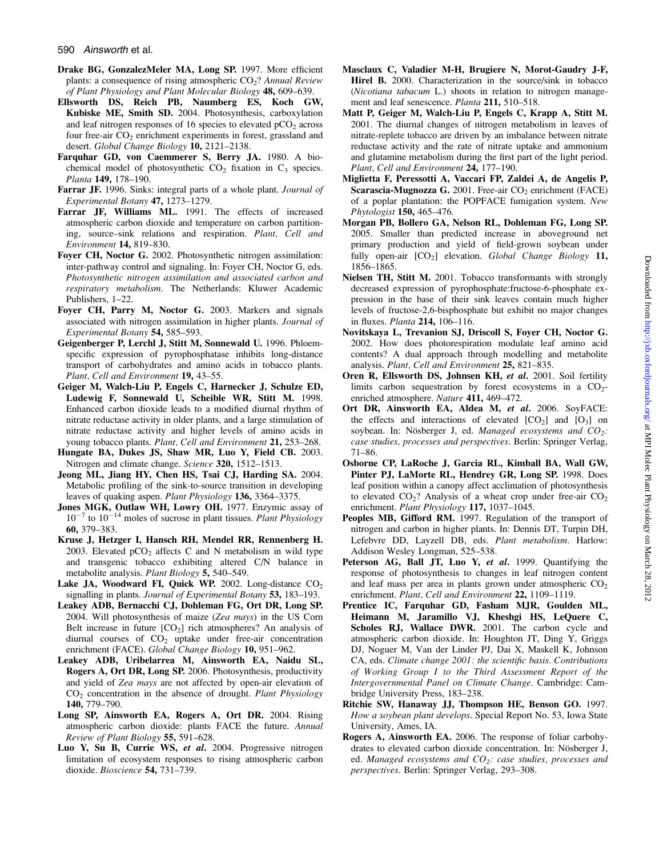- Drake BG, GonzalezMeler MA, Long SP. 1997. More efficient plants: a consequence of rising atmospheric  $CO<sub>2</sub>$ ? Annual Review of Plant Physiology and Plant Molecular Biology 48, 609–639.
- Ellsworth DS, Reich PB, Naumberg ES, Koch GW, Kubiske ME, Smith SD. 2004. Photosynthesis, carboxylation and leaf nitrogen responses of 16 species to elevated  $pCO<sub>2</sub>$  across four free-air  $CO<sub>2</sub>$  enrichment experiments in forest, grassland and desert. Global Change Biology 10, 2121-2138.
- Farquhar GD, von Caemmerer S, Berry JA. 1980. A biochemical model of photosynthetic  $CO<sub>2</sub>$  fixation in  $C<sub>3</sub>$  species. Planta 149, 178–190.
- Farrar JF. 1996. Sinks: integral parts of a whole plant. Journal of Experimental Botany 47, 1273–1279.
- Farrar JF, Williams ML. 1991. The effects of increased atmospheric carbon dioxide and temperature on carbon partitioning, source–sink relations and respiration. Plant, Cell and Environment 14, 819–830.
- Foyer CH, Noctor G. 2002. Photosynthetic nitrogen assimilation: inter-pathway control and signaling. In: Foyer CH, Noctor G, eds. Photosynthetic nitrogen assimilation and associated carbon and respiratory metabolism. The Netherlands: Kluwer Academic Publishers, 1–22.
- Foyer CH, Parry M, Noctor G. 2003. Markers and signals associated with nitrogen assimilation in higher plants. Journal of Experimental Botany 54, 585–593.
- Geigenberger P, Lerchl J, Stitt M, Sonnewald U. 1996. Phloemspecific expression of pyrophosphatase inhibits long-distance transport of carbohydrates and amino acids in tobacco plants. Plant, Cell and Environment 19, 43-55.
- Geiger M, Walch-Liu P, Engels C, Harnecker J, Schulze ED, Ludewig F, Sonnewald U, Scheible WR, Stitt M. 1998. Enhanced carbon dioxide leads to a modified diurnal rhythm of nitrate reductase activity in older plants, and a large stimulation of nitrate reductase activity and higher levels of amino acids in young tobacco plants. Plant, Cell and Environment 21, 253-268.
- Hungate BA, Dukes JS, Shaw MR, Luo Y, Field CB. 2003. Nitrogen and climate change. Science 320, 1512–1513.
- Jeong ML, Jiang HY, Chen HS, Tsai CJ, Harding SA. 2004. Metabolic profiling of the sink-to-source transition in developing leaves of quaking aspen. Plant Physiology 136, 3364–3375.
- Jones MGK, Outlaw WH, Lowry OH. 1977. Enzymic assay of  $10^{-7}$  to  $10^{-14}$  moles of sucrose in plant tissues. *Plant Physiology* 60, 379–383.
- Kruse J, Hetzger I, Hansch RH, Mendel RR, Rennenberg H. 2003. Elevated  $pCO<sub>2</sub>$  affects C and N metabolism in wild type and transgenic tobacco exhibiting altered C/N balance in metabolite analysis. Plant Biology 5, 540–549.
- Lake JA, Woodward FI, Quick WP. 2002. Long-distance  $CO<sub>2</sub>$ signalling in plants. Journal of Experimental Botany 53, 183–193.
- Leakey ADB, Bernacchi CJ, Dohleman FG, Ort DR, Long SP. 2004. Will photosynthesis of maize (Zea mays) in the US Corn Belt increase in future  $[CO_2]$  rich atmospheres? An analysis of diurnal courses of  $CO<sub>2</sub>$  uptake under free-air concentration enrichment (FACE). Global Change Biology 10, 951-962.
- Leakey ADB, Uribelarrea M, Ainsworth EA, Naidu SL, Rogers A, Ort DR, Long SP. 2006. Photosynthesis, productivity and yield of Zea mays are not affected by open-air elevation of  $CO<sub>2</sub>$  concentration in the absence of drought. Plant Physiology 140, 779–790.
- Long SP, Ainsworth EA, Rogers A, Ort DR. 2004. Rising atmospheric carbon dioxide: plants FACE the future. Annual Review of Plant Biology 55, 591–628.
- Luo Y, Su B, Currie WS, et al. 2004. Progressive nitrogen limitation of ecosystem responses to rising atmospheric carbon dioxide. Bioscience 54, 731–739.
- Masclaux C, Valadier M-H, Brugiere N, Morot-Gaudry J-F, Hirel B. 2000. Characterization in the source/sink in tobacco (Nicotiana tabacum L.) shoots in relation to nitrogen management and leaf senescence. Planta 211, 510-518.
- Matt P, Geiger M, Walch-Liu P, Engels C, Krapp A, Stitt M. 2001. The diurnal changes of nitrogen metabolism in leaves of nitrate-replete tobacco are driven by an imbalance between nitrate reductase activity and the rate of nitrate uptake and ammonium and glutamine metabolism during the first part of the light period. Plant, Cell and Environment 24, 177-190.
- Miglietta F, Peressotti A, Vaccari FP, Zaldei A, de Angelis P, Scarascia-Mugnozza G. 2001. Free-air  $CO<sub>2</sub>$  enrichment (FACE) of a poplar plantation: the POPFACE fumigation system. New Phytologist 150, 465–476.
- Morgan PB, Bollero GA, Nelson RL, Dohleman FG, Long SP. 2005. Smaller than predicted increase in aboveground net primary production and yield of field-grown soybean under fully open-air  $[CO_2]$  elevation. Global Change Biology 11, 1856–1865.
- Nielsen TH, Stitt M. 2001. Tobacco transformants with strongly decreased expression of pyrophosphate:fructose-6-phosphate expression in the base of their sink leaves contain much higher levels of fructose-2,6-bisphosphate but exhibit no major changes in fluxes. Planta 214, 106–116.
- Novitskaya L, Trevanion SJ, Driscoll S, Foyer CH, Noctor G. 2002. How does photorespiration modulate leaf amino acid contents? A dual approach through modelling and metabolite analysis. Plant, Cell and Environment 25, 821–835.
- Oren R, Ellsworth DS, Johnsen KH, et al. 2001. Soil fertility limits carbon sequestration by forest ecosystems in a  $CO<sub>2</sub>$ enriched atmosphere. Nature 411, 469-472.
- Ort DR, Ainsworth EA, Aldea M, et al. 2006. SoyFACE: the effects and interactions of elevated  $[CO_2]$  and  $[O_3]$  on soybean. In: Nösberger J, ed. Managed ecosystems and  $CO_2$ : case studies, processes and perspectives. Berlin: Springer Verlag, 71–86.
- Osborne CP, LaRoche J, Garcia RL, Kimball BA, Wall GW, Pinter PJ, LaMorte RL, Hendrey GR, Long SP. 1998. Does leaf position within a canopy affect acclimation of photosynthesis to elevated  $CO<sub>2</sub>$ ? Analysis of a wheat crop under free-air  $CO<sub>2</sub>$ enrichment. Plant Physiology 117, 1037-1045.
- Peoples MB, Gifford RM. 1997. Regulation of the transport of nitrogen and carbon in higher plants. In: Dennis DT, Turpin DH, Lefebvre DD, Layzell DB, eds. Plant metabolism. Harlow: Addison Wesley Longman, 525–538.
- Peterson AG, Ball JT, Luo Y, et al. 1999. Quantifying the response of photosynthesis to changes in leaf nitrogen content and leaf mass per area in plants grown under atmospheric  $CO<sub>2</sub>$ enrichment. Plant, Cell and Environment 22, 1109-1119.
- Prentice IC, Farquhar GD, Fasham MJR, Goulden ML, Heimann M, Jaramillo VJ, Kheshgi HS, LeQuere C, Scholes RJ, Wallace DWR. 2001. The carbon cycle and atmospheric carbon dioxide. In: Houghton JT, Ding Y, Griggs DJ, Noguer M, Van der Linder PJ, Dai X, Maskell K, Johnson CA, eds. Climate change 2001: the scientific basis. Contributions of Working Group I to the Third Assessment Report of the Intergovernmental Panel on Climate Change. Cambridge: Cambridge University Press, 183–238.
- Ritchie SW, Hanaway JJ, Thompson HE, Benson GO. 1997. How a soybean plant develops. Special Report No. 53, Iowa State University, Ames, IA.
- Rogers A, Ainsworth EA. 2006. The response of foliar carbohydrates to elevated carbon dioxide concentration. In: Nösberger J, ed. Managed ecosystems and  $CO<sub>2</sub>$ : case studies, processes and perspectives. Berlin: Springer Verlag, 293–308.